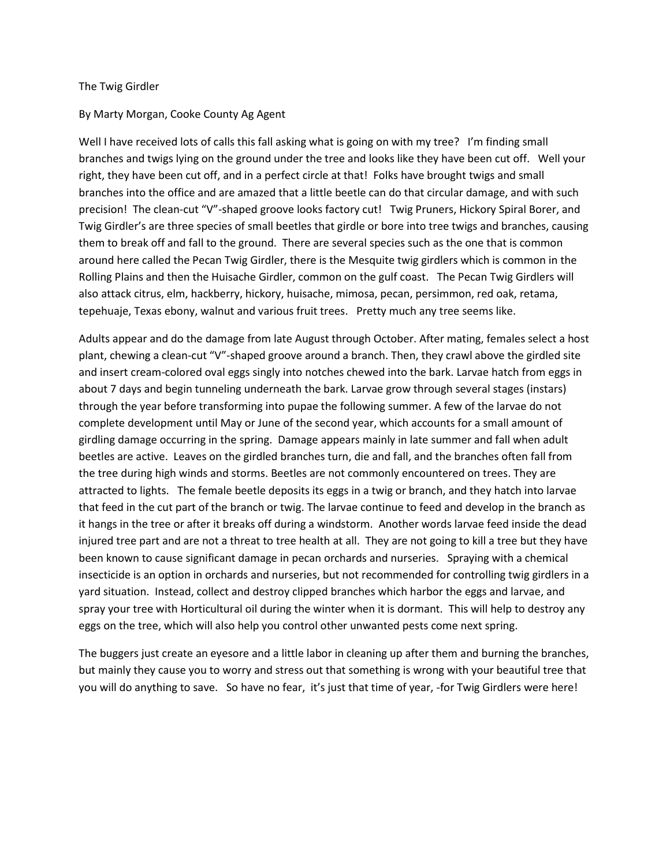## The Twig Girdler

## By Marty Morgan, Cooke County Ag Agent

Well I have received lots of calls this fall asking what is going on with my tree? I'm finding small branches and twigs lying on the ground under the tree and looks like they have been cut off. Well your right, they have been cut off, and in a perfect circle at that! Folks have brought twigs and small branches into the office and are amazed that a little beetle can do that circular damage, and with such precision! The clean-cut "V"-shaped groove looks factory cut! Twig Pruners, Hickory Spiral Borer, and Twig Girdler's are three species of small beetles that girdle or bore into tree twigs and branches, causing them to break off and fall to the ground. There are several species such as the one that is common around here called the Pecan Twig Girdler, there is the Mesquite twig girdlers which is common in the Rolling Plains and then the Huisache Girdler, common on the gulf coast. The Pecan Twig Girdlers will also attack citrus, elm, hackberry, hickory, huisache, mimosa, pecan, persimmon, red oak, retama, tepehuaje, Texas ebony, walnut and various fruit trees. Pretty much any tree seems like.

Adults appear and do the damage from late August through October. After mating, females select a host plant, chewing a clean-cut "V"-shaped groove around a branch. Then, they crawl above the girdled site and insert cream-colored oval eggs singly into notches chewed into the bark. Larvae hatch from eggs in about 7 days and begin tunneling underneath the bark. Larvae grow through several stages (instars) through the year before transforming into pupae the following summer. A few of the larvae do not complete development until May or June of the second year, which accounts for a small amount of girdling damage occurring in the spring. Damage appears mainly in late summer and fall when adult beetles are active. Leaves on the girdled branches turn, die and fall, and the branches often fall from the tree during high winds and storms. Beetles are not commonly encountered on trees. They are attracted to lights. The female beetle deposits its eggs in a twig or branch, and they hatch into larvae that feed in the cut part of the branch or twig. The larvae continue to feed and develop in the branch as it hangs in the tree or after it breaks off during a windstorm. Another words larvae feed inside the dead injured tree part and are not a threat to tree health at all. They are not going to kill a tree but they have been known to cause significant damage in pecan orchards and nurseries. Spraying with a chemical insecticide is an option in orchards and nurseries, but not recommended for controlling twig girdlers in a yard situation. Instead, collect and destroy clipped branches which harbor the eggs and larvae, and spray your tree with Horticultural oil during the winter when it is dormant. This will help to destroy any eggs on the tree, which will also help you control other unwanted pests come next spring.

The buggers just create an eyesore and a little labor in cleaning up after them and burning the branches, but mainly they cause you to worry and stress out that something is wrong with your beautiful tree that you will do anything to save. So have no fear, it's just that time of year, -for Twig Girdlers were here!